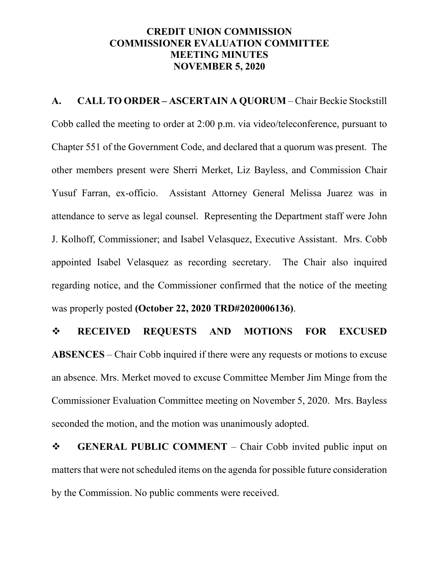## **CREDIT UNION COMMISSION COMMISSIONER EVALUATION COMMITTEE MEETING MINUTES NOVEMBER 5, 2020**

**A. CALL TO ORDER – ASCERTAIN A QUORUM** – Chair Beckie Stockstill Cobb called the meeting to order at 2:00 p.m. via video/teleconference, pursuant to Chapter 551 of the Government Code, and declared that a quorum was present. The other members present were Sherri Merket, Liz Bayless, and Commission Chair Yusuf Farran, ex-officio. Assistant Attorney General Melissa Juarez was in attendance to serve as legal counsel. Representing the Department staff were John J. Kolhoff, Commissioner; and Isabel Velasquez, Executive Assistant. Mrs. Cobb appointed Isabel Velasquez as recording secretary. The Chair also inquired regarding notice, and the Commissioner confirmed that the notice of the meeting was properly posted **(October 22, 2020 TRD#2020006136)**.

 **RECEIVED REQUESTS AND MOTIONS FOR EXCUSED ABSENCES** – Chair Cobb inquired if there were any requests or motions to excuse an absence. Mrs. Merket moved to excuse Committee Member Jim Minge from the Commissioner Evaluation Committee meeting on November 5, 2020. Mrs. Bayless seconded the motion, and the motion was unanimously adopted.

**GENERAL PUBLIC COMMENT** – Chair Cobb invited public input on matters that were not scheduled items on the agenda for possible future consideration by the Commission. No public comments were received.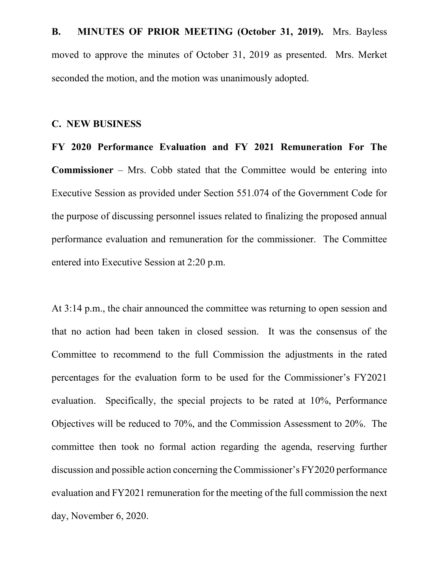**B. MINUTES OF PRIOR MEETING (October 31, 2019).** Mrs. Bayless moved to approve the minutes of October 31, 2019 as presented. Mrs. Merket seconded the motion, and the motion was unanimously adopted.

## **C. NEW BUSINESS**

**FY 2020 Performance Evaluation and FY 2021 Remuneration For The Commissioner** – Mrs. Cobb stated that the Committee would be entering into Executive Session as provided under Section 551.074 of the Government Code for the purpose of discussing personnel issues related to finalizing the proposed annual performance evaluation and remuneration for the commissioner. The Committee entered into Executive Session at 2:20 p.m.

At 3:14 p.m., the chair announced the committee was returning to open session and that no action had been taken in closed session. It was the consensus of the Committee to recommend to the full Commission the adjustments in the rated percentages for the evaluation form to be used for the Commissioner's FY2021 evaluation. Specifically, the special projects to be rated at 10%, Performance Objectives will be reduced to 70%, and the Commission Assessment to 20%. The committee then took no formal action regarding the agenda, reserving further discussion and possible action concerning the Commissioner's FY2020 performance evaluation and FY2021 remuneration for the meeting of the full commission the next day, November 6, 2020.